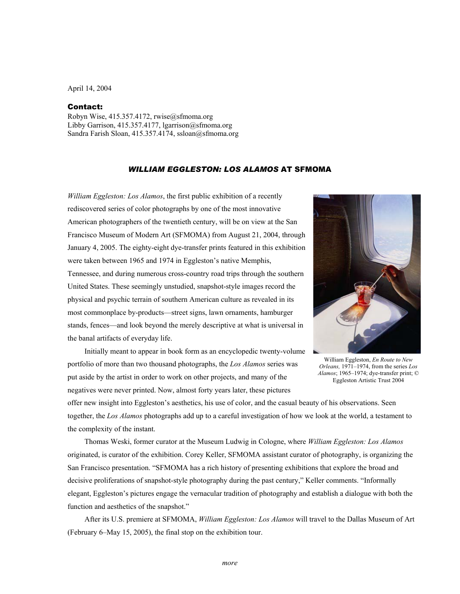April 14, 2004

## Contact:

Robyn Wise, 415.357.4172, rwise@sfmoma.org Libby Garrison, 415.357.4177, lgarrison@sfmoma.org Sandra Farish Sloan, 415.357.4174, ssloan@sfmoma.org

## *WILLIAM EGGLESTON: LOS ALAMOS* AT SFMOMA

*William Eggleston: Los Alamos*, the first public exhibition of a recently rediscovered series of color photographs by one of the most innovative American photographers of the twentieth century, will be on view at the San Francisco Museum of Modern Art (SFMOMA) from August 21, 2004, through January 4, 2005. The eighty-eight dye-transfer prints featured in this exhibition were taken between 1965 and 1974 in Eggleston's native Memphis, Tennessee, and during numerous cross-country road trips through the southern United States. These seemingly unstudied, snapshot-style images record the physical and psychic terrain of southern American culture as revealed in its most commonplace by-products—street signs, lawn ornaments, hamburger stands, fences—and look beyond the merely descriptive at what is universal in the banal artifacts of everyday life.

 Initially meant to appear in book form as an encyclopedic twenty-volume portfolio of more than two thousand photographs, the *Los Alamos* series was put aside by the artist in order to work on other projects, and many of the negatives were never printed. Now, almost forty years later, these pictures



William Eggleston, *En Route to New Orleans,* 1971–1974, from the series *Los Alamos*; 1965–1974; dye-transfer print; © Eggleston Artistic Trust 2004

offer new insight into Eggleston's aesthetics, his use of color, and the casual beauty of his observations. Seen together, the *Los Alamos* photographs add up to a careful investigation of how we look at the world, a testament to the complexity of the instant.

 Thomas Weski, former curator at the Museum Ludwig in Cologne, where *William Eggleston: Los Alamos* originated, is curator of the exhibition. Corey Keller, SFMOMA assistant curator of photography, is organizing the San Francisco presentation. "SFMOMA has a rich history of presenting exhibitions that explore the broad and decisive proliferations of snapshot-style photography during the past century," Keller comments. "Informally elegant, Eggleston's pictures engage the vernacular tradition of photography and establish a dialogue with both the function and aesthetics of the snapshot."

 After its U.S. premiere at SFMOMA, *William Eggleston: Los Alamos* will travel to the Dallas Museum of Art (February 6–May 15, 2005), the final stop on the exhibition tour.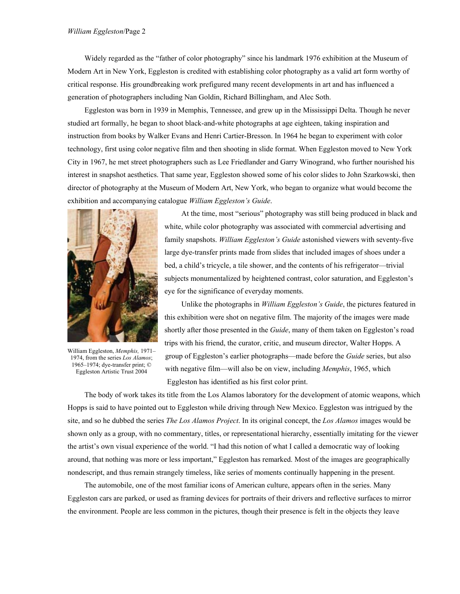Widely regarded as the "father of color photography" since his landmark 1976 exhibition at the Museum of Modern Art in New York, Eggleston is credited with establishing color photography as a valid art form worthy of critical response. His groundbreaking work prefigured many recent developments in art and has influenced a generation of photographers including Nan Goldin, Richard Billingham, and Alec Soth.

 Eggleston was born in 1939 in Memphis, Tennessee, and grew up in the Mississippi Delta. Though he never studied art formally, he began to shoot black-and-white photographs at age eighteen, taking inspiration and instruction from books by Walker Evans and Henri Cartier-Bresson. In 1964 he began to experiment with color technology, first using color negative film and then shooting in slide format. When Eggleston moved to New York City in 1967, he met street photographers such as Lee Friedlander and Garry Winogrand, who further nourished his interest in snapshot aesthetics. That same year, Eggleston showed some of his color slides to John Szarkowski, then director of photography at the Museum of Modern Art, New York, who began to organize what would become the exhibition and accompanying catalogue *William Eggleston's Guide*.



William Eggleston, *Memphis,* 1971– 1974, from the series *Los Alamos*; 1965–1974; dye-transfer print; © Eggleston Artistic Trust 2004

 At the time, most "serious" photography was still being produced in black and white, while color photography was associated with commercial advertising and family snapshots. *William Eggleston's Guide* astonished viewers with seventy-five large dye-transfer prints made from slides that included images of shoes under a bed, a child's tricycle, a tile shower, and the contents of his refrigerator—trivial subjects monumentalized by heightened contrast, color saturation, and Eggleston's eye for the significance of everyday moments.

 Unlike the photographs in *William Eggleston's Guide*, the pictures featured in this exhibition were shot on negative film. The majority of the images were made shortly after those presented in the *Guide*, many of them taken on Eggleston's road trips with his friend, the curator, critic, and museum director, Walter Hopps. A group of Eggleston's earlier photographs—made before the *Guide* series, but also with negative film—will also be on view, including *Memphis*, 1965, which Eggleston has identified as his first color print.

 The body of work takes its title from the Los Alamos laboratory for the development of atomic weapons, which Hopps is said to have pointed out to Eggleston while driving through New Mexico. Eggleston was intrigued by the site, and so he dubbed the series *The Los Alamos Project*. In its original concept, the *Los Alamos* images would be shown only as a group, with no commentary, titles, or representational hierarchy, essentially imitating for the viewer the artist's own visual experience of the world. "I had this notion of what I called a democratic way of looking around, that nothing was more or less important," Eggleston has remarked. Most of the images are geographically nondescript, and thus remain strangely timeless, like series of moments continually happening in the present.

 The automobile, one of the most familiar icons of American culture, appears often in the series. Many Eggleston cars are parked, or used as framing devices for portraits of their drivers and reflective surfaces to mirror the environment. People are less common in the pictures, though their presence is felt in the objects they leave